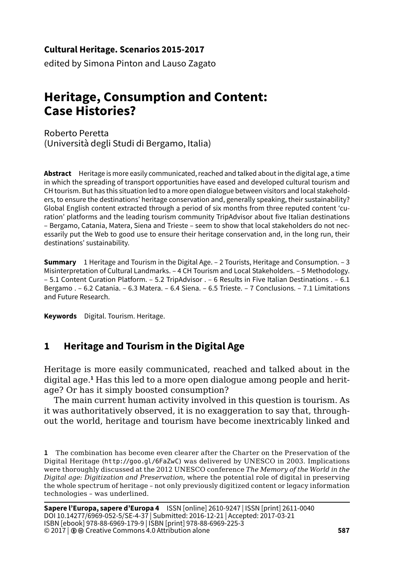### **Cultural Heritage. Scenarios 2015-2017**

edited by Simona Pinton and Lauso Zagato

# **Heritage, Consumption and Content: Case Histories?**

Roberto Peretta (Università degli Studi di Bergamo, Italia)

**Abstract** Heritage is more easily communicated, reached and talked about in the digital age, a time in which the spreading of transport opportunities have eased and developed cultural tourism and CH tourism. But has this situation led to a more open dialogue between visitors and local stakeholders, to ensure the destinations' heritage conservation and, generally speaking, their sustainability? Global English content extracted through a period of six months from three reputed content 'curation' platforms and the leading tourism community TripAdvisor about five Italian destinations – Bergamo, Catania, Matera, Siena and Trieste – seem to show that local stakeholders do not necessarily put the Web to good use to ensure their heritage conservation and, in the long run, their destinations' sustainability.

**Summary** 1 Heritage and Tourism in the Digital Age. – 2 Tourists, Heritage and Consumption. – 3 Misinterpretation of Cultural Landmarks. – 4 CH Tourism and Local Stakeholders. – 5 Methodology. – 5.1 Content Curation Platform. – 5.2 TripAdvisor . – 6 Results in Five Italian Destinations . – 6.1 Bergamo . – 6.2 Catania. – 6.3 Matera. – 6.4 Siena. – 6.5 Trieste. – 7 Conclusions. – 7.1 Limitations and Future Research.

**Keywords** Digital. Tourism. Heritage.

### **1 Heritage and Tourism in the Digital Age**

Heritage is more easily communicated, reached and talked about in the digital age.**<sup>1</sup>** Has this led to a more open dialogue among people and heritage? Or has it simply boosted consumption?

The main current human activity involved in this question is tourism. As it was authoritatively observed, it is no exaggeration to say that, throughout the world, heritage and tourism have become inextricably linked and

**<sup>1</sup>** The combination has become even clearer after the Charter on the Preservation of the Digital Heritage (<http://goo.gl/6FaZwC>) was delivered by UNESCO in 2003. Implications were thoroughly discussed at the 2012 UNESCO conference *The Memory of the World in the Digital age: Digitization and Preservation*, where the potential role of digital in preserving the whole spectrum of heritage – not only previously digitized content or legacy information technologies – was underlined.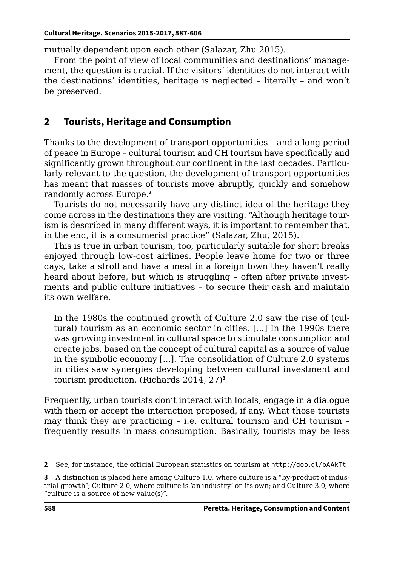mutually dependent upon each other (Salazar, Zhu 2015).

From the point of view of local communities and destinations' management, the question is crucial. If the visitors' identities do not interact with the destinations' identities, heritage is neglected – literally – and won't be preserved.

## **2 Tourists, Heritage and Consumption**

Thanks to the development of transport opportunities – and a long period of peace in Europe – cultural tourism and CH tourism have specifically and significantly grown throughout our continent in the last decades. Particularly relevant to the question, the development of transport opportunities has meant that masses of tourists move abruptly, quickly and somehow randomly across Europe.**<sup>2</sup>**

Tourists do not necessarily have any distinct idea of the heritage they come across in the destinations they are visiting. "Although heritage tourism is described in many different ways, it is important to remember that, in the end, it is a consumerist practice" (Salazar, Zhu, 2015).

This is true in urban tourism, too, particularly suitable for short breaks enjoyed through low-cost airlines. People leave home for two or three days, take a stroll and have a meal in a foreign town they haven't really heard about before, but which is struggling – often after private investments and public culture initiatives – to secure their cash and maintain its own welfare.

In the 1980s the continued growth of Culture 2.0 saw the rise of (cultural) tourism as an economic sector in cities. [...] In the 1990s there was growing investment in cultural space to stimulate consumption and create jobs, based on the concept of cultural capital as a source of value in the symbolic economy [...]. The consolidation of Culture 2.0 systems in cities saw synergies developing between cultural investment and tourism production. (Richards 2014, 27)**<sup>3</sup>**

Frequently, urban tourists don't interact with locals, engage in a dialogue with them or accept the interaction proposed, if any. What those tourists may think they are practicing – i.e. cultural tourism and CH tourism – frequently results in mass consumption. Basically, tourists may be less

**<sup>2</sup>** See, for instance, the official European statistics on tourism at <http://goo.gl/bAAkTt>

**<sup>3</sup>** A distinction is placed here among Culture 1.0, where culture is a "by-product of industrial growth"; Culture 2.0, where culture is 'an industry' on its own; and Culture 3.0, where "culture is a source of new value(s)".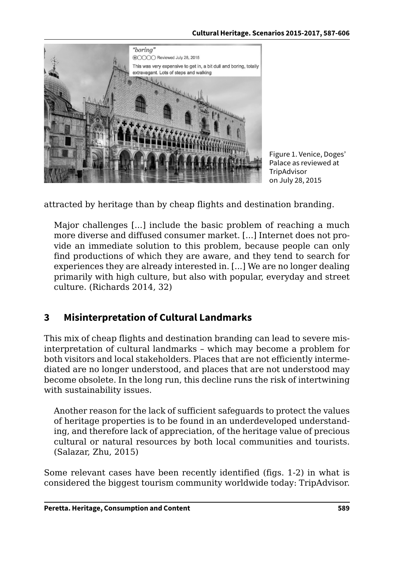

Figure 1. Venice, Doges' Palace as reviewed at **TripAdvisor** on July 28, 2015

attracted by heritage than by cheap flights and destination branding.

Major challenges [...] include the basic problem of reaching a much more diverse and diffused consumer market. [...] Internet does not provide an immediate solution to this problem, because people can only find productions of which they are aware, and they tend to search for experiences they are already interested in. [...] We are no longer dealing primarily with high culture, but also with popular, everyday and street culture. (Richards 2014, 32)

## **3 Misinterpretation of Cultural Landmarks**

This mix of cheap flights and destination branding can lead to severe misinterpretation of cultural landmarks – which may become a problem for both visitors and local stakeholders. Places that are not efficiently intermediated are no longer understood, and places that are not understood may become obsolete. In the long run, this decline runs the risk of intertwining with sustainability issues.

Another reason for the lack of sufficient safeguards to protect the values of heritage properties is to be found in an underdeveloped understanding, and therefore lack of appreciation, of the heritage value of precious cultural or natural resources by both local communities and tourists. (Salazar, Zhu, 2015)

Some relevant cases have been recently identified (figs. 1-2) in what is considered the biggest tourism community worldwide today: TripAdvisor.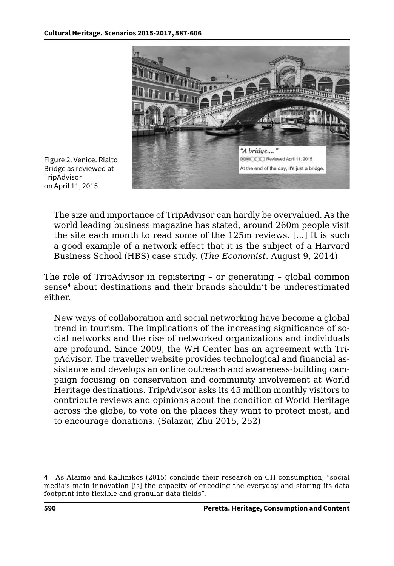

Figure 2. Venice. Rialto Bridge as reviewed at **TripAdvisor** on April 11, 2015

The size and importance of TripAdvisor can hardly be overvalued. As the world leading business magazine has stated, around 260m people visit the site each month to read some of the 125m reviews. [...] It is such a good example of a network effect that it is the subject of a Harvard Business School (HBS) case study. (*The Economist*. August 9, 2014)

The role of TripAdvisor in registering – or generating – global common sense**<sup>4</sup>** about destinations and their brands shouldn't be underestimated either.

New ways of collaboration and social networking have become a global trend in tourism. The implications of the increasing significance of social networks and the rise of networked organizations and individuals are profound. Since 2009, the WH Center has an agreement with TripAdvisor. The traveller website provides technological and financial assistance and develops an online outreach and awareness-building campaign focusing on conservation and community involvement at World Heritage destinations. TripAdvisor asks its 45 million monthly visitors to contribute reviews and opinions about the condition of World Heritage across the globe, to vote on the places they want to protect most, and to encourage donations. (Salazar, Zhu 2015, 252)

**<sup>4</sup>** As Alaimo and Kallinikos (2015) conclude their research on CH consumption, "social media's main innovation [is] the capacity of encoding the everyday and storing its data footprint into flexible and granular data fields".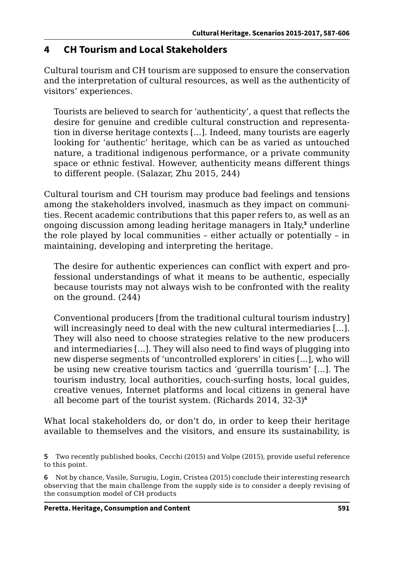### **4 CH Tourism and Local Stakeholders**

Cultural tourism and CH tourism are supposed to ensure the conservation and the interpretation of cultural resources, as well as the authenticity of visitors' experiences.

Tourists are believed to search for 'authenticity', a quest that reflects the desire for genuine and credible cultural construction and representation in diverse heritage contexts [...]. Indeed, many tourists are eagerly looking for 'authentic' heritage, which can be as varied as untouched nature, a traditional indigenous performance, or a private community space or ethnic festival. However, authenticity means different things to different people. (Salazar, Zhu 2015, 244)

Cultural tourism and CH tourism may produce bad feelings and tensions among the stakeholders involved, inasmuch as they impact on communities. Recent academic contributions that this paper refers to, as well as an ongoing discussion among leading heritage managers in Italy,**<sup>5</sup>** underline the role played by local communities – either actually or potentially – in maintaining, developing and interpreting the heritage.

The desire for authentic experiences can conflict with expert and professional understandings of what it means to be authentic, especially because tourists may not always wish to be confronted with the reality on the ground. (244)

Conventional producers [from the traditional cultural tourism industry] will increasingly need to deal with the new cultural intermediaries [...]. They will also need to choose strategies relative to the new producers and intermediaries [...]. They will also need to find ways of plugging into new disperse segments of 'uncontrolled explorers' in cities [...], who will be using new creative tourism tactics and 'guerrilla tourism' [...]. The tourism industry, local authorities, couch-surfing hosts, local guides, creative venues, Internet platforms and local citizens in general have all become part of the tourist system. (Richards 2014, 32-3)**<sup>6</sup>**

What local stakeholders do, or don't do, in order to keep their heritage available to themselves and the visitors, and ensure its sustainability, is

**<sup>5</sup>** Two recently published books, Cecchi (2015) and Volpe (2015), provide useful reference to this point.

**<sup>6</sup>** Not by chance, Vasile, Surugiu, Login, Cristea (2015) conclude their interesting research observing that the main challenge from the supply side is to consider a deeply revising of the consumption model of CH products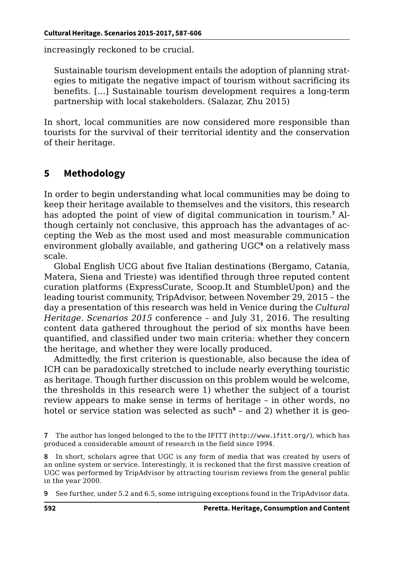increasingly reckoned to be crucial.

Sustainable tourism development entails the adoption of planning strategies to mitigate the negative impact of tourism without sacrificing its benefits. [...] Sustainable tourism development requires a long‐term partnership with local stakeholders. (Salazar, Zhu 2015)

In short, local communities are now considered more responsible than tourists for the survival of their territorial identity and the conservation of their heritage.

## **5 Methodology**

In order to begin understanding what local communities may be doing to keep their heritage available to themselves and the visitors, this research has adopted the point of view of digital communication in tourism.**<sup>7</sup>** Although certainly not conclusive, this approach has the advantages of accepting the Web as the most used and most measurable communication environment globally available, and gathering UGC**<sup>8</sup>** on a relatively mass scale.

Global English UCG about five Italian destinations (Bergamo, Catania, Matera, Siena and Trieste) was identified through three reputed content curation platforms (ExpressCurate, Scoop.It and StumbleUpon) and the leading tourist community, TripAdvisor, between November 29, 2015 – the day a presentation of this research was held in Venice during the *Cultural Heritage. Scenarios 2015* conference – and July 31, 2016. The resulting content data gathered throughout the period of six months have been quantified, and classified under two main criteria: whether they concern the heritage, and whether they were locally produced.

Admittedly, the first criterion is questionable, also because the idea of ICH can be paradoxically stretched to include nearly everything touristic as heritage. Though further discussion on this problem would be welcome, the thresholds in this research were 1) whether the subject of a tourist review appears to make sense in terms of heritage – in other words, no hotel or service station was selected as such**<sup>9</sup>** – and 2) whether it is geo-

**8** In short, scholars agree that UGC is any form of media that was created by users of an online system or service. Interestingly, it is reckoned that the first massive creation of UGC was performed by TripAdvisor by attracting tourism reviews from the general public in the year 2000.

**<sup>7</sup>** The author has longed belonged to the to the IFITT (<http://www.ifitt.org/>), which has produced a considerable amount of research in the field since 1994.

**<sup>9</sup>** See further, under 5.2 and 6.5, some intriguing exceptions found in the TripAdvisor data.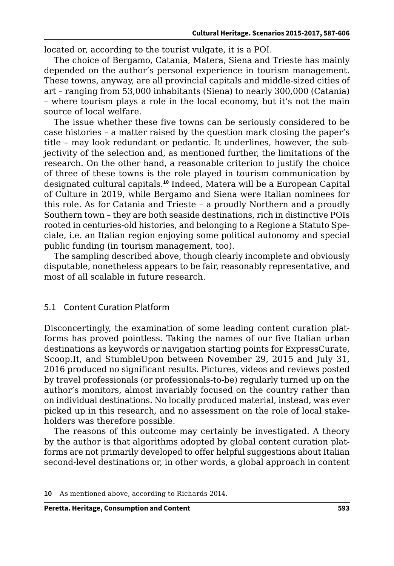located or, according to the tourist vulgate, it is a POI.

The choice of Bergamo, Catania, Matera, Siena and Trieste has mainly depended on the author's personal experience in tourism management. These towns, anyway, are all provincial capitals and middle-sized cities of art – ranging from 53,000 inhabitants (Siena) to nearly 300,000 (Catania) – where tourism plays a role in the local economy, but it's not the main source of local welfare.

The issue whether these five towns can be seriously considered to be case histories – a matter raised by the question mark closing the paper's title – may look redundant or pedantic. It underlines, however, the subjectivity of the selection and, as mentioned further, the limitations of the research. On the other hand, a reasonable criterion to justify the choice of three of these towns is the role played in tourism communication by designated cultural capitals.**<sup>10</sup>** Indeed, Matera will be a European Capital of Culture in 2019, while Bergamo and Siena were Italian nominees for this role. As for Catania and Trieste – a proudly Northern and a proudly Southern town – they are both seaside destinations, rich in distinctive POIs rooted in centuries-old histories, and belonging to a Regione a Statuto Speciale, i.e. an Italian region enjoying some political autonomy and special public funding (in tourism management, too).

The sampling described above, though clearly incomplete and obviously disputable, nonetheless appears to be fair, reasonably representative, and most of all scalable in future research.

#### 5.1 Content Curation Platform

Disconcertingly, the examination of some leading content curation platforms has proved pointless. Taking the names of our five Italian urban destinations as keywords or navigation starting points for ExpressCurate, Scoop.It, and StumbleUpon between November 29, 2015 and July 31, 2016 produced no significant results. Pictures, videos and reviews posted by travel professionals (or professionals-to-be) regularly turned up on the author's monitors, almost invariably focused on the country rather than on individual destinations. No locally produced material, instead, was ever picked up in this research, and no assessment on the role of local stakeholders was therefore possible.

The reasons of this outcome may certainly be investigated. A theory by the author is that algorithms adopted by global content curation platforms are not primarily developed to offer helpful suggestions about Italian second-level destinations or, in other words, a global approach in content

**<sup>10</sup>** As mentioned above, according to Richards 2014.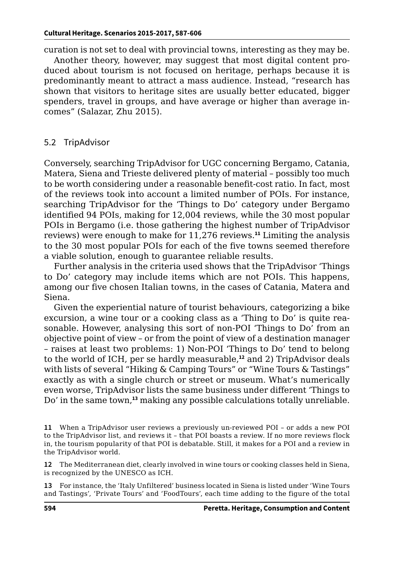curation is not set to deal with provincial towns, interesting as they may be.

Another theory, however, may suggest that most digital content produced about tourism is not focused on heritage, perhaps because it is predominantly meant to attract a mass audience. Instead, "research has shown that visitors to heritage sites are usually better educated, bigger spenders, travel in groups, and have average or higher than average incomes" (Salazar, Zhu 2015).

#### 5.2 TripAdvisor

Conversely, searching TripAdvisor for UGC concerning Bergamo, Catania, Matera, Siena and Trieste delivered plenty of material – possibly too much to be worth considering under a reasonable benefit-cost ratio. In fact, most of the reviews took into account a limited number of POIs. For instance, searching TripAdvisor for the 'Things to Do' category under Bergamo identified 94 POIs, making for 12,004 reviews, while the 30 most popular POIs in Bergamo (i.e. those gathering the highest number of TripAdvisor reviews) were enough to make for 11,276 reviews.**<sup>11</sup>** Limiting the analysis to the 30 most popular POIs for each of the five towns seemed therefore a viable solution, enough to guarantee reliable results.

Further analysis in the criteria used shows that the TripAdvisor 'Things to Do' category may include items which are not POIs. This happens, among our five chosen Italian towns, in the cases of Catania, Matera and Siena.

Given the experiential nature of tourist behaviours, categorizing a bike excursion, a wine tour or a cooking class as a 'Thing to Do' is quite reasonable. However, analysing this sort of non-POI 'Things to Do' from an objective point of view – or from the point of view of a destination manager – raises at least two problems: 1) Non-POI 'Things to Do' tend to belong to the world of ICH, per se hardly measurable,**<sup>12</sup>** and 2) TripAdvisor deals with lists of several "Hiking & Camping Tours" or "Wine Tours & Tastings" exactly as with a single church or street or museum. What's numerically even worse, TripAdvisor lists the same business under different 'Things to Do' in the same town,**<sup>13</sup>** making any possible calculations totally unreliable.

**12** The Mediterranean diet, clearly involved in wine tours or cooking classes held in Siena, is recognized by the UNESCO as ICH.

**13** For instance, the 'Italy Unfiltered' business located in Siena is listed under 'Wine Tours and Tastings', 'Private Tours' and 'FoodTours', each time adding to the figure of the total

**<sup>11</sup>** When a TripAdvisor user reviews a previously un-reviewed POI – or adds a new POI to the TripAdvisor list, and reviews it – that POI boasts a review. If no more reviews flock in, the tourism popularity of that POI is debatable. Still, it makes for a POI and a review in the TripAdvisor world.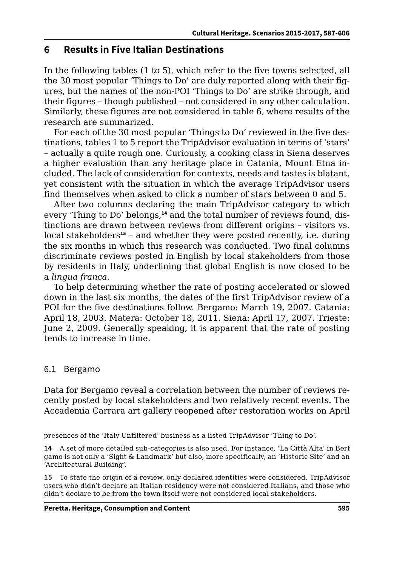### **6 Results in Five Italian Destinations**

In the following tables (1 to 5), which refer to the five towns selected, all the 30 most popular 'Things to Do' are duly reported along with their figures, but the names of the non-POI 'Things to Do' are strike through, and their figures – though published – not considered in any other calculation. Similarly, these figures are not considered in table 6, where results of the research are summarized.

For each of the 30 most popular 'Things to Do' reviewed in the five destinations, tables 1 to 5 report the TripAdvisor evaluation in terms of 'stars' – actually a quite rough one. Curiously, a cooking class in Siena deserves a higher evaluation than any heritage place in Catania, Mount Etna included. The lack of consideration for contexts, needs and tastes is blatant, yet consistent with the situation in which the average TripAdvisor users find themselves when asked to click a number of stars between 0 and 5.

After two columns declaring the main TripAdvisor category to which every 'Thing to Do' belongs,**14** and the total number of reviews found, distinctions are drawn between reviews from different origins – visitors vs. local stakeholders**<sup>15</sup>** – and whether they were posted recently, i.e. during the six months in which this research was conducted. Two final columns discriminate reviews posted in English by local stakeholders from those by residents in Italy, underlining that global English is now closed to be a *lingua franca*.

To help determining whether the rate of posting accelerated or slowed down in the last six months, the dates of the first TripAdvisor review of a POI for the five destinations follow. Bergamo: March 19, 2007. Catania: April 18, 2003. Matera: October 18, 2011. Siena: April 17, 2007. Trieste: June 2, 2009. Generally speaking, it is apparent that the rate of posting tends to increase in time.

### 6.1 Bergamo

Data for Bergamo reveal a correlation between the number of reviews recently posted by local stakeholders and two relatively recent events. The Accademia Carrara art gallery reopened after restoration works on April

presences of the 'Italy Unfiltered' business as a listed TripAdvisor 'Thing to Do'.

**14** A set of more detailed sub-categories is also used. For instance, 'La Città Alta' in Berfgamo is not only a 'Sight & Landmark' but also, more specifically, an 'Historic Site' and an 'Architectural Building'.

**15** To state the origin of a review, only declared identities were considered. TripAdvisor users who didn't declare an Italian residency were not considered Italians, and those who didn't declare to be from the town itself were not considered local stakeholders.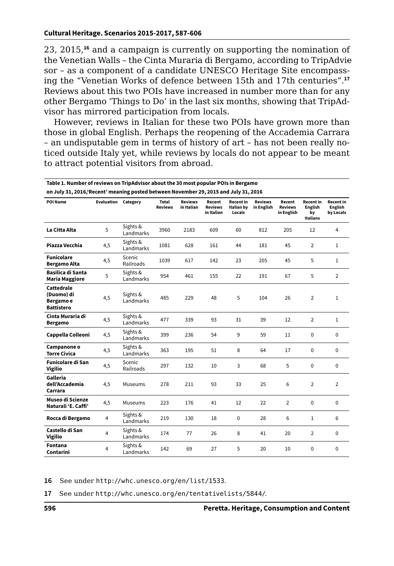23, 2015,**<sup>16</sup>** and a campaign is currently on supporting the nomination of the Venetian Walls – the Cinta Muraria di Bergamo, according to TripAdviesor – as a component of a candidate UNESCO Heritage Site encompassing the "Venetian Works of defence between 15th and 17th centuries".**<sup>17</sup>** Reviews about this two POIs have increased in number more than for any other Bergamo 'Things to Do' in the last six months, showing that TripAdvisor has mirrored participation from locals.

However, reviews in Italian for these two POIs have grown more than those in global English. Perhaps the reopening of the Accademia Carrara – an undisputable gem in terms of history of art – has not been really noticed outside Italy yet, while reviews by locals do not appear to be meant to attract potential visitors from abroad.

**Table 1. Number of reviews on TripAdvisor about the 30 most popular POIs in Bergamo** 

| on July 31, 2016, Recent' meaning posted between November 29, 2015 and July 31, 2016 |                            |                       |                         |                              |                                        |                                   |                              |                                        |                                                      |                                   |  |  |
|--------------------------------------------------------------------------------------|----------------------------|-----------------------|-------------------------|------------------------------|----------------------------------------|-----------------------------------|------------------------------|----------------------------------------|------------------------------------------------------|-----------------------------------|--|--|
| <b>POI Name</b>                                                                      | <b>Evaluation Category</b> |                       | Total<br><b>Reviews</b> | <b>Reviews</b><br>in Italian | Recent<br><b>Reviews</b><br>in Italian | Recent in<br>Italian by<br>Locals | <b>Reviews</b><br>in English | Recent<br><b>Reviews</b><br>in English | <b>Recent</b> in<br><b>English</b><br>by<br>Italians | Recent in<br>English<br>by Locals |  |  |
| La Citta Alta                                                                        | 5                          | Sights &<br>Landmarks | 3960                    | 2183                         | 609                                    | 60                                | 812                          | 205                                    | 12                                                   | 4                                 |  |  |
| Piazza Vecchia                                                                       | 4,5                        | Sights &<br>Landmarks | 1081                    | 628                          | 161                                    | 44                                | 181                          | 45                                     | $\overline{2}$                                       | $\mathbf{1}$                      |  |  |
| <b>Funicolare</b><br><b>Bergamo Alta</b>                                             | 4,5                        | Scenic<br>Railroads   | 1039                    | 617                          | 142                                    | 23                                | 205                          | 45                                     | 5                                                    | $\mathbf{1}$                      |  |  |
| Basilica di Santa<br><b>Maria Maggiore</b>                                           | 5                          | Sights &<br>Landmarks | 954                     | 461                          | 155                                    | 22                                | 191                          | 67                                     | 5                                                    | $\overline{2}$                    |  |  |
| Cattedrale<br>(Duomo) di<br>Bergamo e<br><b>Battistero</b>                           | 4,5                        | Sights &<br>Landmarks | 485                     | 229                          | 48                                     | 5                                 | 104                          | 26                                     | $\overline{2}$                                       | $\mathbf{1}$                      |  |  |
| Cinta Muraria di<br><b>Bergamo</b>                                                   | 4,5                        | Sights &<br>Landmarks | 477                     | 339                          | 93                                     | 31                                | 39                           | 12                                     | $\overline{2}$                                       | 1                                 |  |  |
| Cappella Colleoni                                                                    | 4,5                        | Sights &<br>Landmarks | 399                     | 236                          | 54                                     | 9                                 | 59                           | 11                                     | $\Omega$                                             | $\Omega$                          |  |  |
| Campanone o<br><b>Torre Civica</b>                                                   | 4,5                        | Sights &<br>Landmarks | 363                     | 195                          | 51                                     | 8                                 | 64                           | 17                                     | $\Omega$                                             | $\Omega$                          |  |  |
| <b>Funicolare di San</b><br><b>Vigilio</b>                                           | 4,5                        | Scenic<br>Railroads   | 297                     | 132                          | 10                                     | 3                                 | 68                           | 5                                      | $\Omega$                                             | $\mathbf 0$                       |  |  |
| Galleria<br>dell'Accademia<br>Carrara                                                | 4,5                        | Museums               | 278                     | 211                          | 93                                     | 33                                | 25                           | 6                                      | $\overline{2}$                                       | $\overline{2}$                    |  |  |
| Museo di Scienze<br>Naturali 'E. Caffi'                                              | 4,5                        | Museums               | 223                     | 176                          | 41                                     | 12                                | 22                           | $\overline{2}$                         | $\Omega$                                             | $\Omega$                          |  |  |
| Rocca di Bergamo                                                                     | $\overline{4}$             | Sights &<br>Landmarks | 219                     | 130                          | 18                                     | $\mathbf 0$                       | 28                           | 6                                      | $\mathbf{1}$                                         | 6                                 |  |  |
| Castello di San<br><b>Vigilio</b>                                                    | 4                          | Sights &<br>Landmarks | 174                     | 77                           | 26                                     | 8                                 | 41                           | 20                                     | $\overline{2}$                                       | $\Omega$                          |  |  |
| Fontana<br>Contarini                                                                 | 4                          | Sights &<br>Landmarks | 142                     | 69                           | 27                                     | 5                                 | 20                           | 10                                     | $\Omega$                                             | $\mathbf 0$                       |  |  |

**16** See under <http://whc.unesco.org/en/list/1533>.

**17** See under <http://whc.unesco.org/en/tentativelists/5844/>.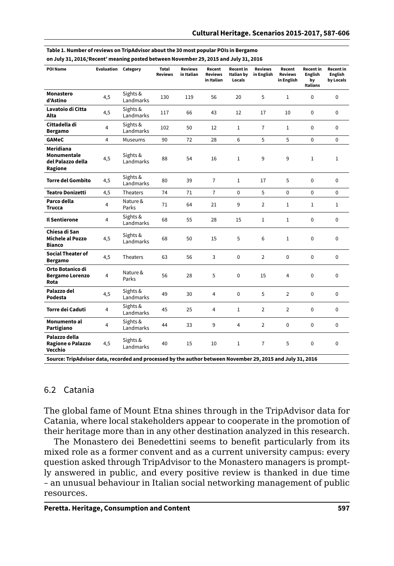| <b>POI Name</b>                                                                                                                                            | Evaluation     | Category              | <b>Total</b><br><b>Reviews</b> | <b>Reviews</b><br>in Italian | Recent<br>Reviews<br>in Italian | Recent in<br>Italian by<br>Locals | <b>Reviews</b><br>in English | Recent<br><b>Reviews</b><br>in English | <b>Recent</b> in<br>English<br>bv<br>Italians | Recent in<br>English<br>by Locals |
|------------------------------------------------------------------------------------------------------------------------------------------------------------|----------------|-----------------------|--------------------------------|------------------------------|---------------------------------|-----------------------------------|------------------------------|----------------------------------------|-----------------------------------------------|-----------------------------------|
| Monastero<br>d'Astino                                                                                                                                      | 4,5            | Sights &<br>Landmarks | 130                            | 119                          | 56                              | 20                                | 5                            | $\mathbf{1}$                           | 0                                             | $\Omega$                          |
| Lavatoio di Citta<br>Alta                                                                                                                                  | 4,5            | Sights &<br>Landmarks | 117                            | 66                           | 43                              | 12                                | 17                           | 10                                     | 0                                             | $\Omega$                          |
| Cittadella di<br><b>Bergamo</b>                                                                                                                            | $\overline{4}$ | Sights &<br>Landmarks | 102                            | 50                           | 12                              | $\mathbf{1}$                      | $\overline{7}$               | $\mathbf{1}$                           | 0                                             | $\Omega$                          |
| <b>GAMeC</b>                                                                                                                                               | 4              | Museums               | 90                             | 72                           | 28                              | 6                                 | 5                            | 5                                      | $\Omega$                                      | $\Omega$                          |
| Meridiana<br>Monumentale<br>del Palazzo della<br>Ragione                                                                                                   | 4,5            | Sights &<br>Landmarks | 88                             | 54                           | 16                              | $\mathbf{1}$                      | 9                            | 9                                      | $\mathbf{1}$                                  | $\mathbf{1}$                      |
| <b>Torre del Gombito</b>                                                                                                                                   | 4,5            | Sights &<br>Landmarks | 80                             | 39                           | $\overline{7}$                  | $\mathbf{1}$                      | 17                           | 5                                      | $\Omega$                                      | $\Omega$                          |
| <b>Teatro Donizetti</b>                                                                                                                                    | 4,5            | Theaters              | 74                             | 71                           | $\overline{7}$                  | $\Omega$                          | 5                            | $\Omega$                               | $\Omega$                                      | $\Omega$                          |
| Parco della<br><b>Trucca</b>                                                                                                                               | 4              | Nature &<br>Parks     | 71                             | 64                           | 21                              | 9                                 | $\overline{2}$               | $\mathbf{1}$                           | $\mathbf{1}$                                  | $\mathbf{1}$                      |
| <b>Il Sentierone</b>                                                                                                                                       | 4              | Sights &<br>Landmarks | 68                             | 55                           | 28                              | 15                                | $\mathbf{1}$                 | $\mathbf{1}$                           | 0                                             | $\Omega$                          |
| Chiesa di San<br>Michele al Pozzo<br><b>Bianco</b>                                                                                                         | 4,5            | Sights &<br>Landmarks | 68                             | 50                           | 15                              | 5                                 | 6                            | $\mathbf{1}$                           | 0                                             | $\Omega$                          |
| <b>Social Theater of</b><br><b>Bergamo</b>                                                                                                                 | 4,5            | <b>Theaters</b>       | 63                             | 56                           | 3                               | 0                                 | $\overline{2}$               | $\Omega$                               | 0                                             | 0                                 |
| Orto Botanico di<br><b>Bergamo Lorenzo</b><br>Rota                                                                                                         | 4              | Nature &<br>Parks     | 56                             | 28                           | 5                               | $\Omega$                          | 15                           | 4                                      | 0                                             | $\Omega$                          |
| Palazzo del<br>Podesta                                                                                                                                     | 4,5            | Sights &<br>Landmarks | 49                             | 30                           | 4                               | $\Omega$                          | 5                            | $\overline{2}$                         | 0                                             | $\Omega$                          |
| Torre dei Caduti                                                                                                                                           | 4              | Sights &<br>Landmarks | 45                             | 25                           | 4                               | $\mathbf{1}$                      | $\overline{2}$               | $\overline{2}$                         | 0                                             | $\Omega$                          |
| Monumento al<br>Partigiano                                                                                                                                 | 4              | Sights &<br>Landmarks | 44                             | 33                           | 9                               | 4                                 | $\overline{2}$               | $\Omega$                               | 0                                             | $\Omega$                          |
| Palazzo della<br>Ragione o Palazzo<br>Vecchio<br>Courses Trinhduiser data reserved and presented by the puthor between November 20, 2015 and July 21, 2016 | 4,5            | Sights &<br>Landmarks | 40                             | 15                           | 10                              | $\mathbf{1}$                      | $\overline{7}$               | 5                                      | $\Omega$                                      | $\Omega$                          |

| Table 1. Number of reviews on TripAdvisor about the 30 most popular POIs in Bergamo  |  |
|--------------------------------------------------------------------------------------|--|
| on July 31, 2016; Recent' meaning posted between November 29, 2015 and July 31, 2016 |  |

**Source: TripAdvisor data, recorded and processed by the author between November 29, 2015 and July 31, 2016**

#### 6.2 Catania

The global fame of Mount Etna shines through in the TripAdvisor data for Catania, where local stakeholders appear to cooperate in the promotion of their heritage more than in any other destination analyzed in this research.

The Monastero dei Benedettini seems to benefit particularly from its mixed role as a former convent and as a current university campus: every question asked through TripAdvisor to the Monastero managers is promptly answered in public, and every positive review is thanked in due time – an unusual behaviour in Italian social networking management of public resources.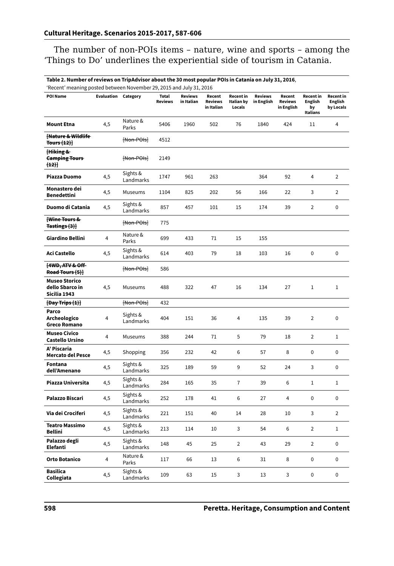The number of non-POIs items – nature, wine and sports – among the 'Things to Do' underlines the experiential side of tourism in Catania.

**Table 2. Number of reviews on TripAdvisor about the 30 most popular POIs in Catania on July 31, 2016**, 'Recent' meaning posted between November 29, 2015 and July 31, 2016

| Recent meaning posted between November 29, 2019 and July 31, 2010 |                            |                       |                                |                              |                                        |                                   |                              |                                        |                                               |                                          |
|-------------------------------------------------------------------|----------------------------|-----------------------|--------------------------------|------------------------------|----------------------------------------|-----------------------------------|------------------------------|----------------------------------------|-----------------------------------------------|------------------------------------------|
| <b>POI Name</b>                                                   | <b>Evaluation Category</b> |                       | <b>Total</b><br><b>Reviews</b> | <b>Reviews</b><br>in Italian | Recent<br><b>Reviews</b><br>in Italian | Recent in<br>Italian by<br>Locals | <b>Reviews</b><br>in English | Recent<br><b>Reviews</b><br>in English | Recent in<br><b>English</b><br>by<br>Italians | Recent in<br><b>English</b><br>by Locals |
| <b>Mount Etna</b>                                                 | 4,5                        | Nature &<br>Parks     | 5406                           | 1960                         | 502                                    | 76                                | 1840                         | 424                                    | 11                                            | 4                                        |
| Hature & Wildlife<br><b>Tours (12)]</b>                           |                            | [Non-POIs]            | 4512                           |                              |                                        |                                   |                              |                                        |                                               |                                          |
| Hiking &<br><b>Camping Tours</b><br>(12)                          |                            | [Non-POIs]            | 2149                           |                              |                                        |                                   |                              |                                        |                                               |                                          |
| Piazza Duomo                                                      | 4,5                        | Sights &<br>Landmarks | 1747                           | 961                          | 263                                    |                                   | 364                          | 92                                     | $\overline{4}$                                | $\overline{2}$                           |
| Monastero dei<br><b>Benedettini</b>                               | 4,5                        | Museums               | 1104                           | 825                          | 202                                    | 56                                | 166                          | 22                                     | 3                                             | $\overline{2}$                           |
| Duomo di Catania                                                  | 4,5                        | Sights &<br>Landmarks | 857                            | 457                          | 101                                    | 15                                | 174                          | 39                                     | $\overline{2}$                                | 0                                        |
| Wine Tours &<br>Tastings (3)}                                     |                            | [Non-POIs]            | 775                            |                              |                                        |                                   |                              |                                        |                                               |                                          |
| Giardino Bellini                                                  | 4                          | Nature &<br>Parks     | 699                            | 433                          | 71                                     | 15                                | 155                          |                                        |                                               |                                          |
| <b>Aci Castello</b>                                               | 4,5                        | Sights &<br>Landmarks | 614                            | 403                          | 79                                     | 18                                | 103                          | 16                                     | 0                                             | 0                                        |
| [4WD, ATV & Off-<br>Road Tours (5)]                               |                            | [Non-POIs]            | 586                            |                              |                                        |                                   |                              |                                        |                                               |                                          |
| <b>Museo Storico</b><br>dello Sbarco in<br>Sicilia 1943           | 4,5                        | Museums               | 488                            | 322                          | 47                                     | 16                                | 134                          | 27                                     | $\mathbf{1}$                                  | $\mathbf{1}$                             |
| $[$ Day Trips $(1)]$                                              |                            | [Non-POIs]            | 432                            |                              |                                        |                                   |                              |                                        |                                               |                                          |
| Parco<br>Archeologico<br><b>Greco Romano</b>                      | 4                          | Sights &<br>Landmarks | 404                            | 151                          | 36                                     | 4                                 | 135                          | 39                                     | $\overline{2}$                                | 0                                        |
| Museo Civico<br>Castello Ursino                                   | 4                          | Museums               | 388                            | 244                          | 71                                     | 5                                 | 79                           | 18                                     | $\overline{2}$                                | $1\,$                                    |
| A' Piscaria<br><b>Mercato del Pesce</b>                           | 4,5                        | Shopping              | 356                            | 232                          | 42                                     | 6                                 | 57                           | 8                                      | 0                                             | 0                                        |
| Fontana<br>dell'Amenano                                           | 4,5                        | Sights &<br>Landmarks | 325                            | 189                          | 59                                     | 9                                 | 52                           | 24                                     | 3                                             | $\mathbf 0$                              |
| Piazza Universita                                                 | 4,5                        | Sights &<br>Landmarks | 284                            | 165                          | 35                                     | 7                                 | 39                           | 6                                      | $1\,$                                         | $1\,$                                    |
| Palazzo Biscari                                                   | 4,5                        | Sights &<br>Landmarks | 252                            | 178                          | 41                                     | 6                                 | 27                           | 4                                      | 0                                             | $\mathbf 0$                              |
| Via dei Crociferi                                                 | 4,5                        | Sights &<br>Landmarks | 221                            | 151                          | 40                                     | 14                                | 28                           | 10                                     | 3                                             | $\overline{2}$                           |
| <b>Teatro Massimo</b><br><b>Bellini</b>                           | 4,5                        | Sights &<br>Landmarks | 213                            | 114                          | 10                                     | 3                                 | 54                           | 6                                      | $\overline{2}$                                | $1\,$                                    |
| Palazzo degli<br>Elefanti                                         | 4,5                        | Sights &<br>Landmarks | 148                            | 45                           | 25                                     | $\overline{2}$                    | 43                           | 29                                     | $\overline{2}$                                | 0                                        |
| Orto Botanico                                                     | 4                          | Nature &<br>Parks     | 117                            | 66                           | 13                                     | 6                                 | 31                           | 8                                      | 0                                             | 0                                        |
| Basilica<br>Collegiata                                            | 4,5                        | Sights &<br>Landmarks | 109                            | 63                           | 15                                     | 3                                 | 13                           | 3                                      | 0                                             | 0                                        |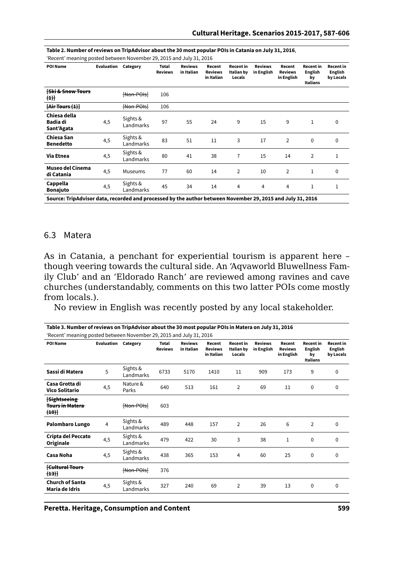| <b>POI Name</b>                                                                                            | Evaluation | Category              | Total<br><b>Reviews</b> | <b>Reviews</b><br>in Italian | Recent<br><b>Reviews</b><br>in Italian | <b>Recent</b> in<br>Italian by<br>Locals | <b>Reviews</b><br>in English | Recent<br><b>Reviews</b><br>in English | <b>Recent</b> in<br><b>English</b><br>by<br>Italians | <b>Recent in</b><br>English<br>by Locals |
|------------------------------------------------------------------------------------------------------------|------------|-----------------------|-------------------------|------------------------------|----------------------------------------|------------------------------------------|------------------------------|----------------------------------------|------------------------------------------------------|------------------------------------------|
| <b>Ski &amp; Snow Tours</b><br>(1)                                                                         |            | Hon-POIst             | 106                     |                              |                                        |                                          |                              |                                        |                                                      |                                          |
| [Air Tours (1)]                                                                                            |            | Hon-POIst             | 106                     |                              |                                        |                                          |                              |                                        |                                                      |                                          |
| Chiesa della<br>Badia di<br>Sant'Agata                                                                     | 4,5        | Sights &<br>Landmarks | 97                      | 55                           | 24                                     | 9                                        | 15                           | 9                                      | 1                                                    | 0                                        |
| Chiesa San<br><b>Benedetto</b>                                                                             | 4,5        | Sights &<br>Landmarks | 83                      | 51                           | 11                                     | 3                                        | 17                           | $\overline{2}$                         | 0                                                    | $\mathbf 0$                              |
| Via Etnea                                                                                                  | 4,5        | Sights &<br>Landmarks | 80                      | 41                           | 38                                     | 7                                        | 15                           | 14                                     | $\overline{2}$                                       | 1                                        |
| Museo del Cinema<br>di Catania                                                                             | 4,5        | Museums               | 77                      | 60                           | 14                                     | $\overline{2}$                           | 10                           | $\overline{2}$                         | $\mathbf{1}$                                         | $\mathbf 0$                              |
| Cappella<br><b>Bonajuto</b>                                                                                | 4,5        | Sights &<br>Landmarks | 45                      | 34                           | 14                                     | 4                                        | 4                            | 4                                      | 1                                                    | 1                                        |
| Source: TripAdvisor data, recorded and processed by the author between November 29, 2015 and July 31, 2016 |            |                       |                         |                              |                                        |                                          |                              |                                        |                                                      |                                          |

**Table 2. Number of reviews on TripAdvisor about the 30 most popular POIs in Catania on July 31, 2016**,

'Recent' meaning posted between November 29, 2015 and July 31, 2016

#### 6.3 Matera

As in Catania, a penchant for experiential tourism is apparent here – though veering towards the cultural side. An 'Aqvaworld Bluwellness Family Club' and an 'Eldorado Ranch' are reviewed among ravines and cave churches (understandably, comments on this two latter POIs come mostly from locals.).

No review in English was recently posted by any local stakeholder.

| 'Recent' meaning posted between November 29, 2015 and July 31, 2016 |                            |                       |                         |                              |                                        |                                                 |                              |                                        |                                                             |                                          |  |
|---------------------------------------------------------------------|----------------------------|-----------------------|-------------------------|------------------------------|----------------------------------------|-------------------------------------------------|------------------------------|----------------------------------------|-------------------------------------------------------------|------------------------------------------|--|
| POI Name                                                            | <b>Evaluation Category</b> |                       | Total<br><b>Reviews</b> | <b>Reviews</b><br>in Italian | Recent<br><b>Reviews</b><br>in Italian | <b>Recent</b> in<br><b>Italian by</b><br>Locals | <b>Reviews</b><br>in English | Recent<br><b>Reviews</b><br>in English | <b>Recent</b> in<br><b>English</b><br>by<br><b>Italians</b> | <b>Recent</b> in<br>English<br>by Locals |  |
| Sassi di Matera                                                     | 5                          | Sights &<br>Landmarks | 6733                    | 5170                         | 1410                                   | 11                                              | 909                          | 173                                    | 9                                                           | 0                                        |  |
| Casa Grotta di<br>Vico Solitario                                    | 4,5                        | Nature &<br>Parks     | 640                     | 513                          | 161                                    | $\overline{2}$                                  | 69                           | 11                                     | 0                                                           | 0                                        |  |
| <b>Sightseeing</b><br><b>Tours in Matera</b><br><del>(10)]</del>    |                            | [Non-POIs]            | 603                     |                              |                                        |                                                 |                              |                                        |                                                             |                                          |  |
| Palombaro Lungo                                                     | 4                          | Sights &<br>Landmarks | 489                     | 448                          | 157                                    | $\overline{2}$                                  | 26                           | 6                                      | $\overline{2}$                                              | 0                                        |  |
| Cripta del Peccato<br>Originale                                     | 4,5                        | Sights &<br>Landmarks | 479                     | 422                          | 30                                     | 3                                               | 38                           | 1                                      | 0                                                           | 0                                        |  |
| Casa Noha                                                           | 4,5                        | Sights &<br>Landmarks | 438                     | 365                          | 153                                    | 4                                               | 60                           | 25                                     | 0                                                           | 0                                        |  |
| <b>Cultural Tours</b><br>(13)                                       |                            | Hon-POIst             | 376                     |                              |                                        |                                                 |                              |                                        |                                                             |                                          |  |
| <b>Church of Santa</b><br>Maria de Idris                            | 4,5                        | Sights &<br>Landmarks | 327                     | 240                          | 69                                     | 2                                               | 39                           | 13                                     | 0                                                           | 0                                        |  |
|                                                                     |                            |                       |                         |                              |                                        |                                                 |                              |                                        |                                                             |                                          |  |

**Table 3. Number of reviews on TripAdvisor about the 30 most popular POIs in Matera on July 31, 2016**

**Peretta. Heritage, Consumption and Content 599**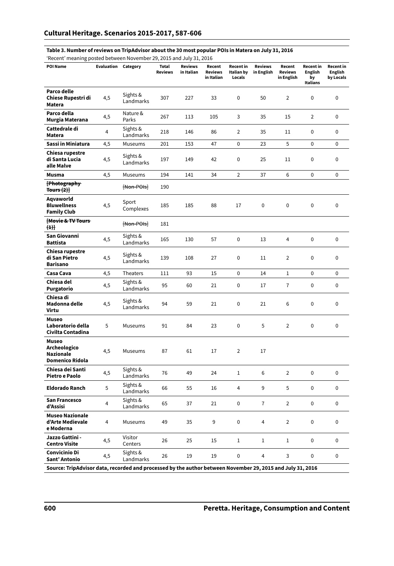#### **Table 3. Number of reviews on TripAdvisor about the 30 most popular POIs in Matera on July 31, 2016**

'Recent' meaning posted between November 29, 2015 and July 31, 2016

| <b>POI Name</b>                                                                                            | Evaluation | Category              | <b>Total</b><br><b>Reviews</b> | <b>Reviews</b><br>in Italian | Recent<br><b>Reviews</b><br>in Italian | Recent in<br>Italian by<br>Locals | <b>Reviews</b><br>in English | Recent<br><b>Reviews</b><br>in English | <b>Recent</b> in<br><b>English</b><br>by<br>Italians | Recent in<br>English<br>by Locals |
|------------------------------------------------------------------------------------------------------------|------------|-----------------------|--------------------------------|------------------------------|----------------------------------------|-----------------------------------|------------------------------|----------------------------------------|------------------------------------------------------|-----------------------------------|
| Parco delle<br>Chiese Rupestri di<br>Matera                                                                | 4,5        | Sights &<br>Landmarks | 307                            | 227                          | 33                                     | 0                                 | 50                           | 2                                      | 0                                                    | 0                                 |
| Parco della<br>Murgia Materana                                                                             | 4,5        | Nature &<br>Parks     | 267                            | 113                          | 105                                    | 3                                 | 35                           | 15                                     | $\overline{2}$                                       | 0                                 |
| Cattedrale di<br><b>Matera</b>                                                                             | 4          | Sights &<br>Landmarks | 218                            | 146                          | 86                                     | $\overline{2}$                    | 35                           | 11                                     | $\mathbf 0$                                          | 0                                 |
| Sassi in Miniatura                                                                                         | 4,5        | Museums               | 201                            | 153                          | 47                                     | $\mathbf 0$                       | 23                           | 5                                      | $\mathbf 0$                                          | 0                                 |
| Chiesa rupestre<br>di Santa Lucia<br>alle Malve                                                            | 4,5        | Sights &<br>Landmarks | 197                            | 149                          | 42                                     | $\mathbf 0$                       | 25                           | 11                                     | $\mathbf 0$                                          | 0                                 |
| <b>Musma</b>                                                                                               | 4,5        | Museums               | 194                            | 141                          | 34                                     | $\overline{2}$                    | 37                           | 6                                      | $\Omega$                                             | $\Omega$                          |
| [Photography-<br>Tours $(2)$                                                                               |            | [Non-POIs]            | 190                            |                              |                                        |                                   |                              |                                        |                                                      |                                   |
| Aqvaworld<br><b>Bluwellness</b><br><b>Family Club</b>                                                      | 4,5        | Sport<br>Complexes    | 185                            | 185                          | 88                                     | 17                                | $\mathbf 0$                  | $\mathbf 0$                            | $\mathbf 0$                                          | $\mathbf 0$                       |
| <b>Movie &amp; TV Tours</b><br>$(+)$                                                                       |            | [Non-POIs]            | 181                            |                              |                                        |                                   |                              |                                        |                                                      |                                   |
| San Giovanni<br><b>Battista</b>                                                                            | 4,5        | Sights &<br>Landmarks | 165                            | 130                          | 57                                     | $\mathbf 0$                       | 13                           | 4                                      | 0                                                    | 0                                 |
| Chiesa rupestre<br>di San Pietro<br><b>Barisano</b>                                                        | 4,5        | Sights &<br>Landmarks | 139                            | 108                          | 27                                     | $\pmb{0}$                         | 11                           | $\overline{2}$                         | $\mathbf 0$                                          | 0                                 |
| Casa Cava                                                                                                  | 4,5        | Theaters              | 111                            | 93                           | 15                                     | $\mathbf 0$                       | 14                           | $\mathbf 1$                            | $\mathbf 0$                                          | 0                                 |
| Chiesa del<br>Purgatorio                                                                                   | 4,5        | Sights &<br>Landmarks | 95                             | 60                           | 21                                     | $\mathbf 0$                       | 17                           | $\overline{7}$                         | $\mathbf 0$                                          | 0                                 |
| Chiesa di<br>Madonna delle<br>Virtu                                                                        | 4,5        | Sights &<br>Landmarks | 94                             | 59                           | 21                                     | $\mathbf 0$                       | 21                           | 6                                      | $\mathbf 0$                                          | $\mathbf 0$                       |
| <b>Museo</b><br>Laboratorio della<br>Civilta Contadina                                                     | 5          | Museums               | 91                             | 84                           | 23                                     | $\mathbf 0$                       | 5                            | $\overline{2}$                         | $\mathbf 0$                                          | $\pmb{0}$                         |
| Museo<br>Archeologico<br><b>Nazionale</b><br>Domenico Ridola                                               | 4,5        | Museums               | 87                             | 61                           | 17                                     | $\overline{2}$                    | 17                           |                                        |                                                      |                                   |
| Chiesa dei Santi<br>Pietro e Paolo                                                                         | 4,5        | Sights &<br>Landmarks | 76                             | 49                           | 24                                     | $\mathbf{1}$                      | 6                            | $\overline{2}$                         | $\mathbf 0$                                          | $\mathbf 0$                       |
| <b>Eldorado Ranch</b>                                                                                      | 5          | Sights &<br>Landmarks | 66                             | 55                           | 16                                     | 4                                 | 9                            | 5                                      | $\mathbf 0$                                          | 0                                 |
| <b>San Francesco</b><br>d'Assisi                                                                           | 4          | Sights &<br>Landmarks | 65                             | 37                           | 21                                     | $\mathbf 0$                       | $\overline{7}$               | $\overline{2}$                         | $\mathbf 0$                                          | 0                                 |
| <b>Museo Nazionale</b><br>d'Arte Medievale<br>e Moderna                                                    | 4          | Museums               | 49                             | 35                           | 9                                      | 0                                 | 4                            | $\overline{2}$                         | $\mathbf 0$                                          | 0                                 |
| Jazzo Gattini -<br><b>Centro Visite</b>                                                                    | 4,5        | Visitor<br>Centers    | 26                             | 25                           | 15                                     | $\mathbf{1}$                      | 1                            | 1                                      | $\mathbf 0$                                          | 0                                 |
| Convicinio Di<br>Sant' Antonio                                                                             | 4,5        | Sights &<br>Landmarks | 26                             | 19                           | 19                                     | 0                                 | 4                            | 3                                      | 0                                                    | 0                                 |
| Source: TripAdvisor data, recorded and processed by the author between November 29, 2015 and July 31, 2016 |            |                       |                                |                              |                                        |                                   |                              |                                        |                                                      |                                   |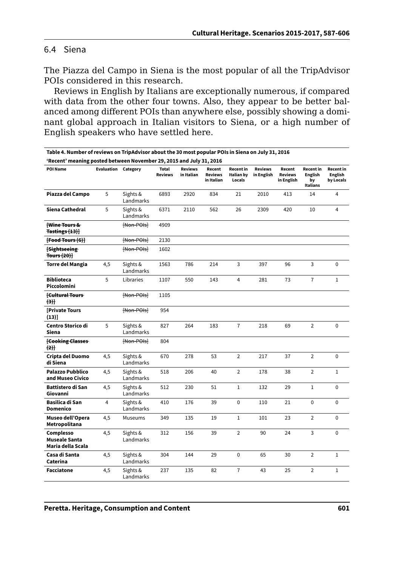#### 6.4 Siena

The Piazza del Campo in Siena is the most popular of all the TripAdvisor POIs considered in this research.

Reviews in English by Italians are exceptionally numerous, if compared with data from the other four towns. Also, they appear to be better balanced among different POIs than anywhere else, possibly showing a dominant global approach in Italian visitors to Siena, or a high number of English speakers who have settled here.

| Table 4. Number of reviews on TripAdvisor about the 30 most popular POIs in Siena on July 31, 2016 |                            |                       |                                |                              |                                        |                                          |                              |                                        |                                                      |                                          |  |
|----------------------------------------------------------------------------------------------------|----------------------------|-----------------------|--------------------------------|------------------------------|----------------------------------------|------------------------------------------|------------------------------|----------------------------------------|------------------------------------------------------|------------------------------------------|--|
| 'Recent' meaning posted between November 29, 2015 and July 31, 2016                                |                            |                       |                                |                              |                                        |                                          |                              |                                        |                                                      |                                          |  |
| POI Name                                                                                           | <b>Evaluation Category</b> |                       | <b>Total</b><br><b>Reviews</b> | <b>Reviews</b><br>in Italian | Recent<br><b>Reviews</b><br>in Italian | <b>Recent in</b><br>Italian by<br>Locals | <b>Reviews</b><br>in English | Recent<br><b>Reviews</b><br>in English | <b>Recent in</b><br><b>English</b><br>by<br>Italians | <b>Recent in</b><br>English<br>by Locals |  |
| Piazza del Campo                                                                                   | 5                          | Sights &<br>Landmarks | 6893                           | 2920                         | 834                                    | 21                                       | 2010                         | 413                                    | 14                                                   | 4                                        |  |
| Siena Cathedral                                                                                    | 5                          | Sights &<br>Landmarks | 6371                           | 2110                         | 562                                    | 26                                       | 2309                         | 420                                    | 10                                                   | 4                                        |  |
| Wine Tours &<br>$\textsf{Tastings}(13)]$                                                           |                            | Hon-POIst             | 4909                           |                              |                                        |                                          |                              |                                        |                                                      |                                          |  |
| [Food Tours (6)]                                                                                   |                            | $[Mon-POIs]$          | 2130                           |                              |                                        |                                          |                              |                                        |                                                      |                                          |  |
| <b>Sightseeing</b><br>Tours $(20)$                                                                 |                            | [Non-POIs]            | 1602                           |                              |                                        |                                          |                              |                                        |                                                      |                                          |  |
| <b>Torre del Mangia</b>                                                                            | 4,5                        | Sights &<br>Landmarks | 1563                           | 786                          | 214                                    | 3                                        | 397                          | 96                                     | 3                                                    | $\Omega$                                 |  |
| <b>Biblioteca</b><br>Piccolomini                                                                   | 5                          | Libraries             | 1107                           | 550                          | 143                                    | $\overline{4}$                           | 281                          | 73                                     | $\overline{7}$                                       | $\mathbf{1}$                             |  |
| <b>fCultural Tours</b><br>$+3$                                                                     |                            | Hon-POIst             | 1105                           |                              |                                        |                                          |                              |                                        |                                                      |                                          |  |
| <b>Private Tours</b><br>(13)]                                                                      |                            | Hon-POIst             | 954                            |                              |                                        |                                          |                              |                                        |                                                      |                                          |  |
| Centro Storico di<br>Siena                                                                         | 5                          | Sights &<br>Landmarks | 827                            | 264                          | 183                                    | $\overline{1}$                           | 218                          | 69                                     | $\overline{2}$                                       | 0                                        |  |
| <b>Eooking Classes</b><br>(2)                                                                      |                            | Hon-POIst             | 804                            |                              |                                        |                                          |                              |                                        |                                                      |                                          |  |
| Cripta del Duomo<br>di Siena                                                                       | 4,5                        | Sights &<br>Landmarks | 670                            | 278                          | 53                                     | $\overline{2}$                           | 217                          | 37                                     | $\overline{2}$                                       | $\Omega$                                 |  |
| <b>Palazzo Pubblico</b><br>and Museo Civico                                                        | 4,5                        | Sights &<br>Landmarks | 518                            | 206                          | 40                                     | $\overline{2}$                           | 178                          | 38                                     | $\overline{2}$                                       | $1\,$                                    |  |
| Battistero di San<br>Giovanni                                                                      | 4,5                        | Sights &<br>Landmarks | 512                            | 230                          | 51                                     | $\mathbf{1}$                             | 132                          | 29                                     | $\mathbf{1}$                                         | $\Omega$                                 |  |
| Basilica di San<br>Domenico                                                                        | $\overline{4}$             | Sights &<br>Landmarks | 410                            | 176                          | 39                                     | 0                                        | 110                          | 21                                     | 0                                                    | $\Omega$                                 |  |
| Museo dell'Opera<br>Metropolitana                                                                  | 4,5                        | Museums               | 349                            | 135                          | 19                                     | $\mathbf{1}$                             | 101                          | 23                                     | $\overline{2}$                                       | $\Omega$                                 |  |
| Complesso<br><b>Museale Santa</b><br>Maria della Scala                                             | 4,5                        | Sights &<br>Landmarks | 312                            | 156                          | 39                                     | $\overline{2}$                           | 90                           | 24                                     | 3                                                    | 0                                        |  |
| Casa di Santa<br>Caterina                                                                          | 4,5                        | Sights &<br>Landmarks | 304                            | 144                          | 29                                     | 0                                        | 65                           | 30                                     | $\overline{2}$                                       | $\mathbf{1}$                             |  |
| <b>Facciatone</b>                                                                                  | 4,5                        | Sights &<br>Landmarks | 237                            | 135                          | 82                                     | $\overline{1}$                           | 43                           | 25                                     | $\overline{2}$                                       | $\mathbf{1}$                             |  |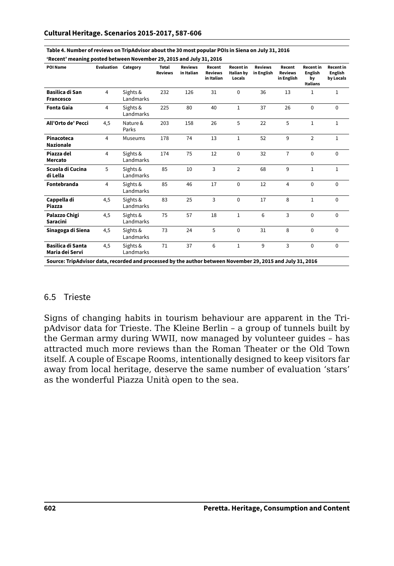| POI Name                                                                                                   | Evaluation | Category              | <b>Total</b><br><b>Reviews</b> | <b>Reviews</b><br>in Italian | Recent<br><b>Reviews</b><br>in Italian | <b>Recent</b> in<br>Italian by<br>Locals | <b>Reviews</b><br>in English | Recent<br><b>Reviews</b><br>in English | <b>Recent</b> in<br><b>English</b><br>bv<br>Italians | <b>Recent</b> in<br>English<br>by Locals |
|------------------------------------------------------------------------------------------------------------|------------|-----------------------|--------------------------------|------------------------------|----------------------------------------|------------------------------------------|------------------------------|----------------------------------------|------------------------------------------------------|------------------------------------------|
| Basilica di San<br>Francesco                                                                               | 4          | Sights &<br>Landmarks | 232                            | 126                          | 31                                     | $\Omega$                                 | 36                           | 13                                     | 1                                                    | $\mathbf{1}$                             |
| <b>Fonta Gaia</b>                                                                                          | 4          | Sights &<br>Landmarks | 225                            | 80                           | 40                                     | 1                                        | 37                           | 26                                     | 0                                                    | $\Omega$                                 |
| All'Orto de' Pecci                                                                                         | 4,5        | Nature &<br>Parks     | 203                            | 158                          | 26                                     | 5                                        | 22                           | 5                                      | $\mathbf{1}$                                         | $\mathbf{1}$                             |
| Pinacoteca<br><b>Nazionale</b>                                                                             | 4          | Museums               | 178                            | 74                           | 13                                     | $\mathbf{1}$                             | 52                           | 9                                      | $\overline{2}$                                       | $\mathbf{1}$                             |
| Piazza del<br>Mercato                                                                                      | 4          | Sights &<br>Landmarks | 174                            | 75                           | 12                                     | $\Omega$                                 | 32                           | $\overline{7}$                         | 0                                                    | $\Omega$                                 |
| Scuola di Cucina<br>di Lella                                                                               | 5          | Sights &<br>Landmarks | 85                             | 10                           | 3                                      | $\overline{2}$                           | 68                           | 9                                      | 1                                                    | $\mathbf{1}$                             |
| Fontebranda                                                                                                | 4          | Sights &<br>Landmarks | 85                             | 46                           | 17                                     | $\Omega$                                 | 12                           | 4                                      | 0                                                    | $\Omega$                                 |
| Cappella di<br>Piazza                                                                                      | 4.5        | Sights &<br>Landmarks | 83                             | 25                           | 3                                      | $\Omega$                                 | 17                           | 8                                      | $\mathbf{1}$                                         | $\Omega$                                 |
| Palazzo Chigi<br>Saracini                                                                                  | 4,5        | Sights &<br>Landmarks | 75                             | 57                           | 18                                     | $\mathbf{1}$                             | 6                            | 3                                      | $\Omega$                                             | $\Omega$                                 |
| Sinagoga di Siena                                                                                          | 4,5        | Sights &<br>Landmarks | 73                             | 24                           | 5                                      | $\Omega$                                 | 31                           | 8                                      | 0                                                    | $\Omega$                                 |
| Basilica di Santa<br>Maria dei Servi                                                                       | 4,5        | Sights &<br>Landmarks | 71                             | 37                           | 6                                      | $\mathbf{1}$                             | 9                            | 3                                      | 0                                                    | 0                                        |
| Source: TripAdvisor data, recorded and processed by the author between November 29, 2015 and July 31, 2016 |            |                       |                                |                              |                                        |                                          |                              |                                        |                                                      |                                          |

**Table 4. Number of reviews on TripAdvisor about the 30 most popular POIs in Siena on July 31, 2016**

#### **'Recent' meaning posted between November 29, 2015 and July 31, 2016**

#### 6.5 Trieste

Signs of changing habits in tourism behaviour are apparent in the TripAdvisor data for Trieste. The Kleine Berlin – a group of tunnels built by the German army during WWII, now managed by volunteer guides – has attracted much more reviews than the Roman Theater or the Old Town itself. A couple of Escape Rooms, intentionally designed to keep visitors far away from local heritage, deserve the same number of evaluation 'stars' as the wonderful Piazza Unità open to the sea.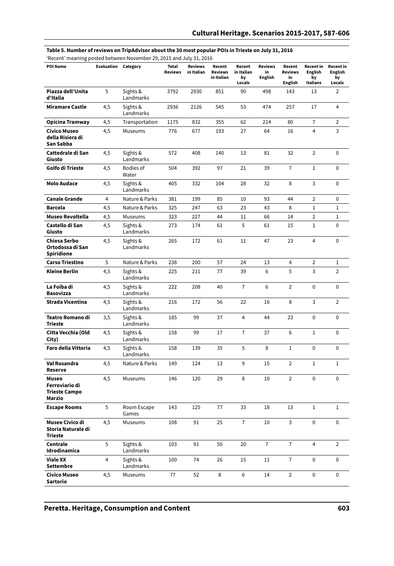#### **Table 5. Number of reviews on TripAdvisor about the 30 most popular POIs in Trieste on July 31, 2016**

| 'Recent' meaning posted between November 29, 2015 and July 31, 2016 |  |  |
|---------------------------------------------------------------------|--|--|
|---------------------------------------------------------------------|--|--|

| <b>POI Name</b>                                           | Evaluation     | Category              | <b>Total</b><br><b>Reviews</b> | <b>Reviews</b><br>in Italian | Recent<br><b>Reviews</b><br>in Italian | Recent<br>in Italian<br>by<br>Locals | <b>Reviews</b><br>in<br><b>English</b> | Recent<br>Reviews<br>in<br><b>English</b> | <b>Recent in</b><br><b>English</b><br>by<br>Italians | <b>Recent in</b><br><b>English</b><br>by<br>Locals |
|-----------------------------------------------------------|----------------|-----------------------|--------------------------------|------------------------------|----------------------------------------|--------------------------------------|----------------------------------------|-------------------------------------------|------------------------------------------------------|----------------------------------------------------|
| Piazza dell'Unita<br>d'Italia                             | 5              | Sights &<br>Landmarks | 3792                           | 2930                         | 851                                    | 90                                   | 498                                    | 143                                       | 13                                                   | $\overline{2}$                                     |
| <b>Miramare Castle</b>                                    | 4,5            | Sights &<br>Landmarks | 2936                           | 2126                         | 545                                    | 53                                   | 474                                    | 257                                       | 17                                                   | 4                                                  |
| Opicina Tramway                                           | 4,5            | Transportation        | 1175                           | 832                          | 355                                    | 62                                   | 214                                    | 80                                        | $\overline{1}$                                       | $\overline{2}$                                     |
| <b>Civico Museo</b><br>della Risiera di<br>San Sabba      | 4,5            | Museums               | 776                            | 677                          | 193                                    | 27                                   | 64                                     | 16                                        | $\overline{4}$                                       | 3                                                  |
| Cattedrale di San<br>Giusto                               | 4,5            | Sights &<br>Landmarks | 572                            | 408                          | 140                                    | 13                                   | 81                                     | 32                                        | $\overline{2}$                                       | 0                                                  |
| Golfo di Trieste                                          | 4,5            | Bodies of<br>Water    | 504                            | 392                          | 97                                     | 21                                   | 39                                     | $\overline{7}$                            | $\,1$                                                | 0                                                  |
| <b>Molo Audace</b>                                        | 4,5            | Sights &<br>Landmarks | 405                            | 332                          | 104                                    | 28                                   | 32                                     | 8                                         | 3                                                    | 0                                                  |
| <b>Canale Grande</b>                                      | 4              | Nature & Parks        | 381                            | 199                          | 85                                     | 10                                   | 93                                     | 44                                        | $\overline{2}$                                       | 0                                                  |
| <b>Barcola</b>                                            | 4,5            | Nature & Parks        | 325                            | 247                          | 63                                     | 23                                   | 43                                     | 8                                         | $\mathbf{1}$                                         | $\mathbf{1}$                                       |
| <b>Museo Revoltella</b>                                   | 4,5            | Museums               | 323                            | 227                          | 44                                     | 11                                   | 66                                     | 14                                        | $\overline{2}$                                       | $1\,$                                              |
| Castello di San<br>Giusto                                 | 4,5            | Sights &<br>Landmarks | 273                            | 174                          | 61                                     | 5                                    | 61                                     | 15                                        | 1                                                    | 0                                                  |
| Chiesa Serbo<br>Ortodossa di San<br><b>Spiridione</b>     | 4,5            | Sights &<br>Landmarks | 265                            | 172                          | 61                                     | 11                                   | 47                                     | 23                                        | $\overline{4}$                                       | $\mathbf 0$                                        |
| <b>Carso Triestino</b>                                    | 5              | Nature & Parks        | 238                            | 200                          | 57                                     | 24                                   | 13                                     | 4                                         | $\overline{2}$                                       | 1                                                  |
| Kleine Berlin                                             | 4,5            | Sights &<br>Landmarks | 225                            | 211                          | 77                                     | 39                                   | 6                                      | 5                                         | 3                                                    | $\overline{2}$                                     |
| La Foiba di<br><b>Basovizza</b>                           | 4,5            | Sights &<br>Landmarks | 222                            | 208                          | 40                                     | $\overline{7}$                       | 6                                      | $\overline{2}$                            | $\mathbf 0$                                          | 0                                                  |
| Strada Vicentina                                          | 4,5            | Sights &<br>Landmarks | 216                            | 172                          | 56                                     | 22                                   | 16                                     | 8                                         | 3                                                    | $\overline{2}$                                     |
| <b>Teatro Romano di</b><br><b>Trieste</b>                 | 3,5            | Sights &<br>Landmarks | 185                            | 99                           | 37                                     | $\overline{4}$                       | 44                                     | 23                                        | $\mathbf 0$                                          | $\Omega$                                           |
| Citta Vecchia (Old<br>City)                               | 4,5            | Sights &<br>Landmarks | 158                            | 99                           | 17                                     | $\overline{1}$                       | 37                                     | 6                                         | $\mathbf{1}$                                         | 0                                                  |
| Faro della Vittoria                                       | 4,5            | Sights &<br>Landmarks | 158                            | 139                          | 35                                     | 5                                    | 8                                      | $\mathbf{1}$                              | 0                                                    | 0                                                  |
| Val Rosandra<br>Reserve                                   | 4,5            | Nature & Parks        | 149                            | 124                          | 13                                     | 9                                    | 15                                     | $\overline{2}$                            | $\mathbf{1}$                                         | $\mathbf{1}$                                       |
| Museo<br>Ferroviario di<br><b>Trieste Campo</b><br>Marzio | 4,5            | Museums               | 146                            | 120                          | 29                                     | 8                                    | 10                                     | $\overline{2}$                            | 0                                                    | 0                                                  |
| <b>Escape Rooms</b>                                       | 5              | Room Escape<br>Games  | 143                            | 125                          | 77                                     | 33                                   | 18                                     | 13                                        | $\mathbf{1}$                                         | $\mathbf{1}$                                       |
| Museo Civico di<br>Storia Naturale di<br><b>Trieste</b>   | 4,5            | Museums               | 108                            | 91                           | 25                                     | $\overline{1}$                       | 10                                     | 3                                         | 0                                                    | $\mathbf 0$                                        |
| Centrale<br>Idrodinamica                                  | 5              | Sights &<br>Landmarks | 103                            | 91                           | 50                                     | 20                                   | $\overline{7}$                         | $\overline{1}$                            | 4                                                    | $\overline{2}$                                     |
| Viale XX<br><b>Settembre</b>                              | $\overline{4}$ | Sights &<br>Landmarks | 100                            | 74                           | 26                                     | 15                                   | 11                                     | $\overline{1}$                            | $\mathbf 0$                                          | $\mathbf 0$                                        |
| <b>Civico Museo</b><br>Sartorio                           | 4,5            | Museums               | 77                             | 52                           | 8                                      | 6                                    | 14                                     | $\overline{2}$                            | 0                                                    | $\mathbf 0$                                        |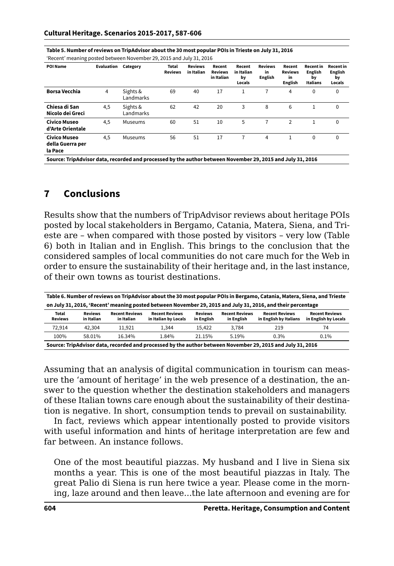|  |  | Table 5. Number of reviews on TripAdvisor about the 30 most popular POIs in Trieste on July 31, 2016 |
|--|--|------------------------------------------------------------------------------------------------------|
|  |  |                                                                                                      |

'Recent' meaning posted between November 29, 2015 and July 31, 2016

| POI Name                                    | Evaluation | Category              | Total<br><b>Reviews</b> | <b>Reviews</b><br>in Italian | Recent<br><b>Reviews</b><br>in Italian | Recent<br>in Italian<br>by<br>Locals | <b>Reviews</b><br>in<br><b>English</b> | Recent<br><b>Reviews</b><br>in<br><b>English</b> | <b>Recent in</b><br><b>English</b><br>by<br><b>Italians</b> | <b>Recent in</b><br><b>English</b><br>by<br>Locals |
|---------------------------------------------|------------|-----------------------|-------------------------|------------------------------|----------------------------------------|--------------------------------------|----------------------------------------|--------------------------------------------------|-------------------------------------------------------------|----------------------------------------------------|
| <b>Borsa Vecchia</b>                        | 4          | Sights &<br>Landmarks | 69                      | 40                           | 17                                     | 1                                    |                                        | 4                                                | 0                                                           | $\mathbf 0$                                        |
| Chiesa di San<br>Nicolo dei Greci           | 4,5        | Sights &<br>Landmarks | 62                      | 42                           | 20                                     | 3                                    | 8                                      | 6                                                | 1                                                           | 0                                                  |
| Civico Museo<br>d'Arte Orientale            | 4,5        | Museums               | 60                      | 51                           | 10                                     | 5                                    | 7                                      | $\overline{2}$                                   |                                                             | 0                                                  |
| Civico Museo<br>della Guerra per<br>la Pace | 4,5        | Museums               | 56                      | 51                           | 17                                     |                                      | 4                                      | 1                                                | 0                                                           | $\mathbf 0$                                        |

**Source: TripAdvisor data, recorded and processed by the author between November 29, 2015 and July 31, 2016**

## **7 Conclusions**

Results show that the numbers of TripAdvisor reviews about heritage POIs posted by local stakeholders in Bergamo, Catania, Matera, Siena, and Trieste are – when compared with those posted by visitors – very low (Table 6) both in Italian and in English. This brings to the conclusion that the considered samples of local communities do not care much for the Web in order to ensure the sustainability of their heritage and, in the last instance, of their own towns as tourist destinations.

| Table 6. Number of reviews on TripAdvisor about the 30 most popular POIs in Bergamo, Catania, Matera, Siena, and Trieste |                              |                                     |                                               |                              |                                     |                                                 |                                               |  |  |
|--------------------------------------------------------------------------------------------------------------------------|------------------------------|-------------------------------------|-----------------------------------------------|------------------------------|-------------------------------------|-------------------------------------------------|-----------------------------------------------|--|--|
| on July 31, 2016, 'Recent' meaning posted between November 29, 2015 and July 31, 2016, and their percentage              |                              |                                     |                                               |                              |                                     |                                                 |                                               |  |  |
| Total<br><b>Reviews</b>                                                                                                  | <b>Reviews</b><br>in Italian | <b>Recent Reviews</b><br>in Italian | <b>Recent Reviews</b><br>in Italian by Locals | <b>Reviews</b><br>in English | <b>Recent Reviews</b><br>in English | <b>Recent Reviews</b><br>in English by Italians | <b>Recent Reviews</b><br>in English by Locals |  |  |
| 72.914                                                                                                                   | 42,304                       | 11.921                              | 1.344                                         | 15.422                       | 3.784                               | 219                                             | 74                                            |  |  |
| 100%                                                                                                                     | 58.01%                       | 16.34%                              | 1.84%                                         | 21.15%                       | 5.19%                               | 0.3%                                            | $0.1\%$                                       |  |  |
| Source: TripAdvisor data, recorded and processed by the author between November 29, 2015 and July 31, 2016               |                              |                                     |                                               |                              |                                     |                                                 |                                               |  |  |

Assuming that an analysis of digital communication in tourism can measure the 'amount of heritage' in the web presence of a destination, the answer to the question whether the destination stakeholders and managers of these Italian towns care enough about the sustainability of their destination is negative. In short, consumption tends to prevail on sustainability.

In fact, reviews which appear intentionally posted to provide visitors with useful information and hints of heritage interpretation are few and far between. An instance follows.

One of the most beautiful piazzas. My husband and I live in Siena six months a year. This is one of the most beautiful piazzas in Italy. The great Palio di Siena is run here twice a year. Please come in the morning, laze around and then leave...the late afternoon and evening are for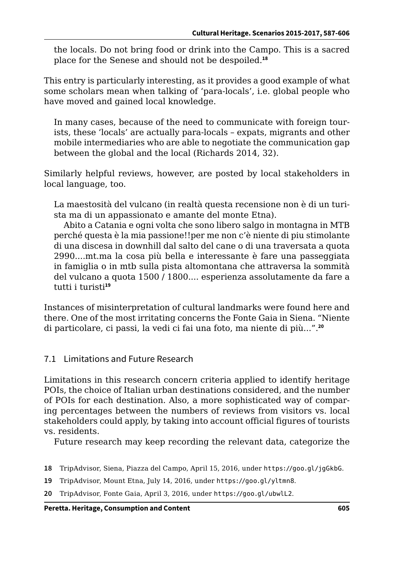the locals. Do not bring food or drink into the Campo. This is a sacred place for the Senese and should not be despoiled.**<sup>18</sup>**

This entry is particularly interesting, as it provides a good example of what some scholars mean when talking of 'para-locals', i.e. global people who have moved and gained local knowledge.

In many cases, because of the need to communicate with foreign tourists, these 'locals' are actually para-locals – expats, migrants and other mobile intermediaries who are able to negotiate the communication gap between the global and the local (Richards 2014, 32).

Similarly helpful reviews, however, are posted by local stakeholders in local language, too.

La maestosità del vulcano (in realtà questa recensione non è di un turista ma di un appassionato e amante del monte Etna).

Abito a Catania e ogni volta che sono libero salgo in montagna in MTB perché questa è la mia passione!!per me non c'è niente di piu stimolante di una discesa in downhill dal salto del cane o di una traversata a quota 2990....mt.ma la cosa più bella e interessante è fare una passeggiata in famiglia o in mtb sulla pista altomontana che attraversa la sommità del vulcano a quota 1500 / 1800.... esperienza assolutamente da fare a tutti i turisti**<sup>19</sup>**

Instances of misinterpretation of cultural landmarks were found here and there. One of the most irritating concerns the Fonte Gaia in Siena. "Niente di particolare, ci passi, la vedi ci fai una foto, ma niente di più...".**<sup>20</sup>**

### 7.1 Limitations and Future Research

Limitations in this research concern criteria applied to identify heritage POIs, the choice of Italian urban destinations considered, and the number of POIs for each destination. Also, a more sophisticated way of comparing percentages between the numbers of reviews from visitors vs. local stakeholders could apply, by taking into account official figures of tourists vs. residents.

Future research may keep recording the relevant data, categorize the

- **18** TripAdvisor, Siena, Piazza del Campo, April 15, 2016, under <https://goo.gl/jgGkbG>.
- **19** TripAdvisor, Mount Etna, July 14, 2016, under <https://goo.gl/yltmn8>.
- **20** TripAdvisor, Fonte Gaia, April 3, 2016, under <https://goo.gl/ubwlL2>.